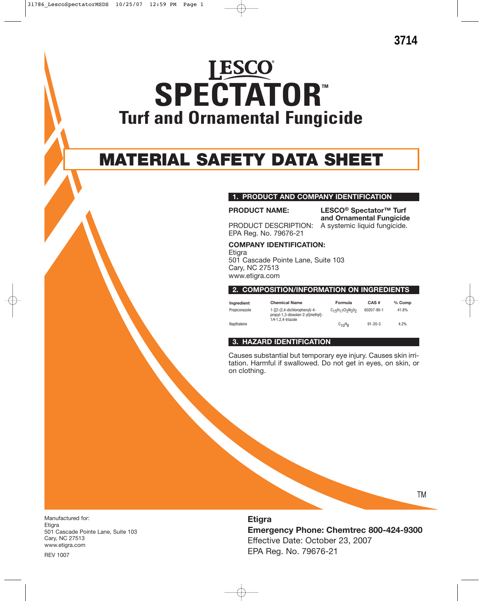# **LESCO SPECTATOR™ Turf and Ornamental Fungicide**

# **MATERIAL SAFETY DATA SHEET**

# **1. PRODUCT AND COMPANY IDENTIFICATION**

**PRODUCT NAME: LESCO® Spectator™ Turf and Ornamental Fungicide** PRODUCT DESCRIPTION: A systemic liquid fungicide.

EPA Reg. No. 79676-21

**COMPANY IDENTIFICATION:**

**Etigra** 501 Cascade Pointe Lane, Suite 103 Cary, NC 27513 www.etigra.com

**2. COMPOSITION/INFORMATION ON INGREDIENTS**

**Ingredient Chemical Name Formula CAS # % Comp** Propiconazole 1-[[2-(2,4-dichlorophenyl)-4 propyl-1,3-dioxolan-2-yl]methyl]- 1H-1,2,4-triazole C<sub>15</sub>H<sub>17</sub>Cl<sub>2</sub>N<sub>3</sub>0<sub>2</sub> 60207-90-1 41.8% Napthalene  $C_{10}H_8$  91-20-3 4.2%

### **3. HAZARD IDENTIFICATION**

Causes substantial but temporary eye injury. Causes skin irritation. Harmful if swallowed. Do not get in eyes, on skin, or on clothing.

Manufactured for: Etigra 501 Cascade Pointe Lane, Suite 103 Cary, NC 27513 www.etigra.com

**Etigra Emergency Phone: Chemtrec 800-424-9300** Effective Date: October 23, 2007 EPA Reg. No. 79676-21

TM

REV 1007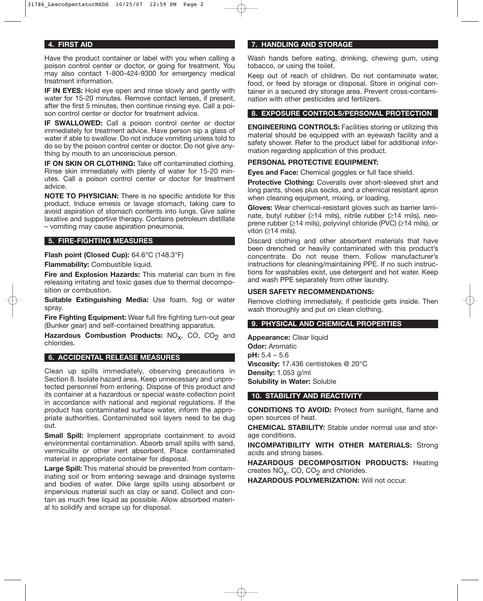#### **4. FIRST AID**

Have the product container or label with you when calling a poison control center or doctor, or going for treatment. You may also contact 1-800-424-9300 for emergency medical treatment information.

**IF IN EYES:** Hold eye open and rinse slowly and gently with water for 15-20 minutes. Remove contact lenses, if present, after the first 5 minutes, then continue rinsing eye. Call a poison control center or doctor for treatment advice.

**IF SWALLOWED:** Call a poison control center or doctor immediately for treatment advice. Have person sip a glass of water if able to swallow. Do not induce vomiting unless told to do so by the poison control center or doctor. Do not give anything by mouth to an unconscious person.

**IF ON SKIN OR CLOTHING:** Take off contaminated clothing. Rinse skin immediately with plenty of water for 15-20 minutes. Call a poison control center or doctor for treatment advice.

**NOTE TO PHYSICIAN:** There is no specific antidote for this product. Induce emesis or lavage stomach, taking care to avoid aspiration of stomach contents into lungs. Give saline laxative and supportive therapy. Contains petroleum distillate – vomiting may cause aspiration pneumonia.

#### **5. FIRE-FIGHTING MEASURES**

**Flash point (Closed Cup):** 64.6°C (148.3°F)

**Flammability:** Combustible liquid.

**Fire and Explosion Hazards:** This material can burn in fire releasing irritating and toxic gases due to thermal decomposition or combustion.

**Suitable Extinguishing Media:** Use foam, fog or water spray.

**Fire Fighting Equipment:** Wear full fire fighting turn-out gear (Bunker gear) and self-contained breathing apparatus.

Hazardous Combustion Products: NO<sub>v</sub>, CO, CO<sub>2</sub> and chlorides.

## **6. ACCIDENTAL RELEASE MEASURES**

Clean up spills immediately, observing precautions in Section 8. Isolate hazard area. Keep unnecessary and unprotected personnel from entering. Dispose of this product and its container at a hazardous or special waste collection point in accordance with national and regional regulations. If the product has contaminated surface water, inform the appropriate authorities. Contaminated soil layers need to be dug out.

**Small Spill:** Implement appropriate containment to avoid environmental contamination. Absorb small spills with sand, vermiculite or other inert absorbent. Place contaminated material in appropriate container for disposal.

**Large Spill:** This material should be prevented from contaminating soil or from entering sewage and drainage systems and bodies of water. Dike large spills using absorbent or impervious material such as clay or sand. Collect and contain as much free liquid as possible. Allow absorbed material to solidify and scrape up for disposal.

# **7. HANDLING AND STORAGE**

Wash hands before eating, drinking, chewing gum, using tobacco, or using the toilet.

Keep out of reach of children. Do not contaminate water, food, or feed by storage or disposal. Store in original container in a secured dry storage area. Prevent cross-contamination with other pesticides and fertilizers.

# **8. EXPOSURE CONTROLS/PERSONAL PROTECTION**

**ENGINEERING CONTROLS:** Facilities storing or utilizing this material should be equipped with an eyewash facility and a safety shower. Refer to the product label for additional information regarding application of this product.

# **PERSONAL PROTECTIVE EQUIPMENT:**

**Eyes and Face:** Chemical goggles or full face shield.

**Protective Clothing:** Coveralls over short-sleeved shirt and long pants, shoes plus socks, and a chemical resistant apron when cleaning equipment, mixing, or loading.

**Gloves:** Wear chemical-resistant gloves such as barrier laminate, butyl rubber (≥14 mils), nitrile rubber (≥14 mils), neoprene rubber (≥14 mils), polyvinyl chloride (PVC) (≥14 mils), or viton (≥14 mils).

Discard clothing and other absorbent materials that have been drenched or heavily contaminated with this product's concentrate. Do not reuse them. Follow manufacturer's instructions for cleaning/maintaining PPE. If no such instructions for washables exist, use detergent and hot water. Keep and wash PPE separately from other laundry.

# **USER SAFETY RECOMMENDATIONS:**

Remove clothing immediately, if pesticide gets inside. Then wash thoroughly and put on clean clothing.

#### **9. PHYSICAL AND CHEMICAL PROPERTIES**

**Appearance:** Clear liquid **Odor:** Aromatic **pH:** 5.4 – 5.6 **Viscosity:** 17.436 centistokes @ 20°C **Density:** 1.053 g/ml **Solubility in Water:** Soluble

#### **10. STABILITY AND REACTIVITY**

**CONDITIONS TO AVOID:** Protect from sunlight, flame and open sources of heat.

**CHEMICAL STABILITY:** Stable under normal use and storage conditions.

**INCOMPATIBILITY WITH OTHER MATERIALS:** Strong acids and strong bases.

**HAZARDOUS DECOMPOSITION PRODUCTS:** Heating creates  $NO_x$ , CO, CO<sub>2</sub> and chlorides.

**HAZARDOUS POLYMERIZATION:** Will not occur.